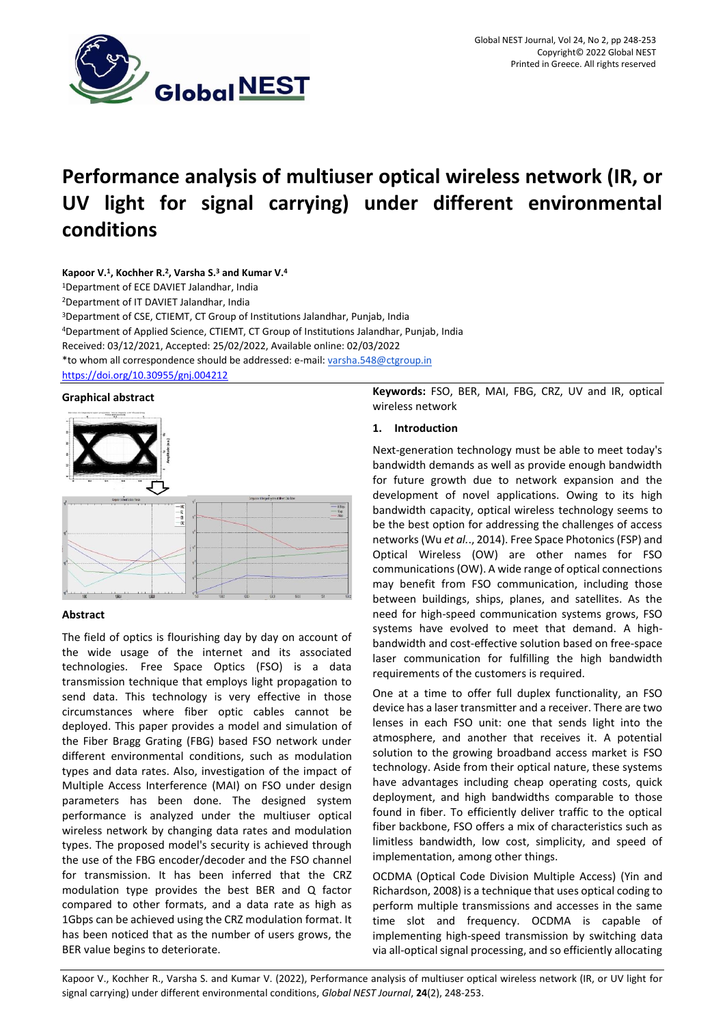

# **Performance analysis of multiuser optical wireless network (IR, or UV light for signal carrying) under different environmental conditions**

## **Kapoor V.<sup>1</sup> , Kochher R.<sup>2</sup> , Varsha S.<sup>3</sup> and Kumar V.<sup>4</sup>**

<sup>1</sup>Department of ECE DAVIET Jalandhar, India

<sup>2</sup>Department of IT DAVIET Jalandhar, India

<sup>3</sup>Department of CSE, CTIEMT, CT Group of Institutions Jalandhar, Punjab, India <sup>4</sup>Department of Applied Science, CTIEMT, CT Group of Institutions Jalandhar, Punjab, India Received: 03/12/2021, Accepted: 25/02/2022, Available online: 02/03/2022 \*to whom all correspondence should be addressed: e-mail[: varsha.548@ctgroup.in](mailto:author%3Avarsha.548@ctgroup.in)

<https://doi.org/10.30955/gnj.004212>

## **Graphical abstract**



# **Abstract**

The field of optics is flourishing day by day on account of the wide usage of the internet and its associated technologies. Free Space Optics (FSO) is a data transmission technique that employs light propagation to send data. This technology is very effective in those circumstances where fiber optic cables cannot be deployed. This paper provides a model and simulation of the Fiber Bragg Grating (FBG) based FSO network under different environmental conditions, such as modulation types and data rates. Also, investigation of the impact of Multiple Access Interference (MAI) on FSO under design parameters has been done. The designed system performance is analyzed under the multiuser optical wireless network by changing data rates and modulation types. The proposed model's security is achieved through the use of the FBG encoder/decoder and the FSO channel for transmission. It has been inferred that the CRZ modulation type provides the best BER and Q factor compared to other formats, and a data rate as high as 1Gbps can be achieved using the CRZ modulation format. It has been noticed that as the number of users grows, the BER value begins to deteriorate.

**Keywords:** FSO, BER, MAI, FBG, CRZ, UV and IR, optical wireless network

# **1. Introduction**

Next-generation technology must be able to meet today's bandwidth demands as well as provide enough bandwidth for future growth due to network expansion and the development of novel applications. Owing to its high bandwidth capacity, optical wireless technology seems to be the best option for addressing the challenges of access networks (Wu *et al.*., 2014). Free Space Photonics (FSP) and Optical Wireless (OW) are other names for FSO communications (OW). A wide range of optical connections may benefit from FSO communication, including those between buildings, ships, planes, and satellites. As the need for high-speed communication systems grows, FSO systems have evolved to meet that demand. A highbandwidth and cost-effective solution based on free-space laser communication for fulfilling the high bandwidth requirements of the customers is required.

One at a time to offer full duplex functionality, an FSO device has a laser transmitter and a receiver. There are two lenses in each FSO unit: one that sends light into the atmosphere, and another that receives it. A potential solution to the growing broadband access market is FSO technology. Aside from their optical nature, these systems have advantages including cheap operating costs, quick deployment, and high bandwidths comparable to those found in fiber. To efficiently deliver traffic to the optical fiber backbone, FSO offers a mix of characteristics such as limitless bandwidth, low cost, simplicity, and speed of implementation, among other things.

OCDMA (Optical Code Division Multiple Access) (Yin and Richardson, 2008) is a technique that uses optical coding to perform multiple transmissions and accesses in the same time slot and frequency. OCDMA is capable of implementing high-speed transmission by switching data via all-optical signal processing, and so efficiently allocating

Kapoor V., Kochher R., Varsha S. and Kumar V. (2022), Performance analysis of multiuser optical wireless network (IR, or UV light for signal carrying) under different environmental conditions, *Global NEST Journal*, **24**(2), 248-253.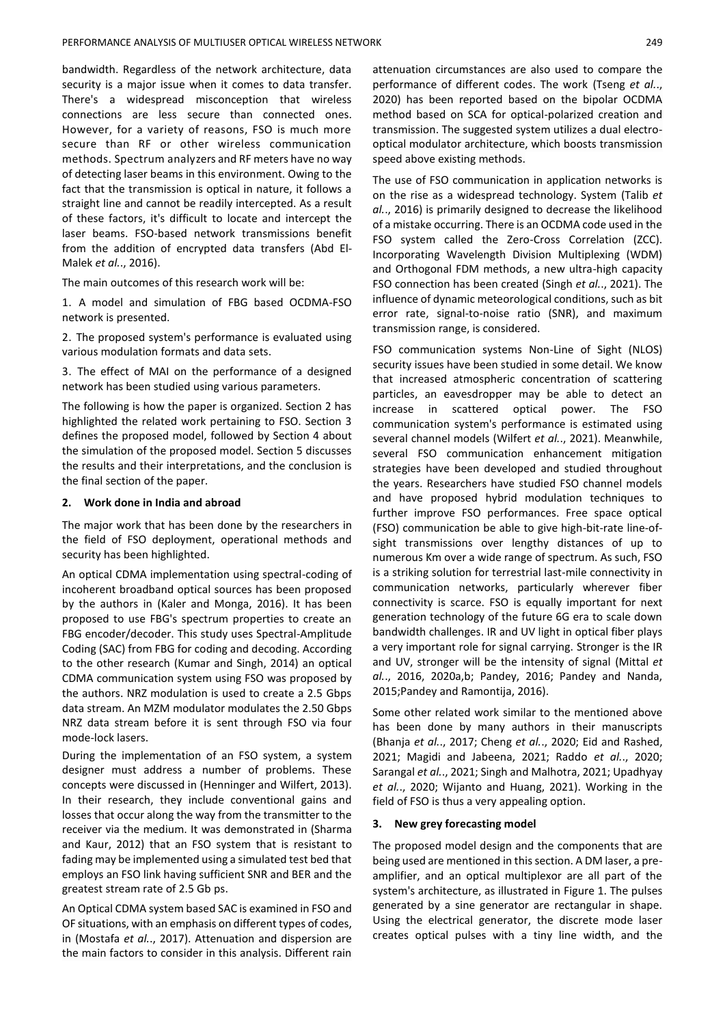bandwidth. Regardless of the network architecture, data security is a major issue when it comes to data transfer. There's a widespread misconception that wireless connections are less secure than connected ones. However, for a variety of reasons, FSO is much more secure than RF or other wireless communication methods. Spectrum analyzers and RF meters have no way of detecting laser beams in this environment. Owing to the fact that the transmission is optical in nature, it follows a straight line and cannot be readily intercepted. As a result of these factors, it's difficult to locate and intercept the laser beams. FSO-based network transmissions benefit from the addition of encrypted data transfers (Abd El-Malek *et al.*., 2016).

The main outcomes of this research work will be:

1. A model and simulation of FBG based OCDMA-FSO network is presented.

2. The proposed system's performance is evaluated using various modulation formats and data sets.

3. The effect of MAI on the performance of a designed network has been studied using various parameters.

The following is how the paper is organized. Section 2 has highlighted the related work pertaining to FSO. Section 3 defines the proposed model, followed by Section 4 about the simulation of the proposed model. Section 5 discusses the results and their interpretations, and the conclusion is the final section of the paper.

## **2. Work done in India and abroad**

The major work that has been done by the researchers in the field of FSO deployment, operational methods and security has been highlighted.

An optical CDMA implementation using spectral-coding of incoherent broadband optical sources has been proposed by the authors in (Kaler and Monga, 2016). It has been proposed to use FBG's spectrum properties to create an FBG encoder/decoder. This study uses Spectral-Amplitude Coding (SAC) from FBG for coding and decoding. According to the other research (Kumar and Singh, 2014) an optical CDMA communication system using FSO was proposed by the authors. NRZ modulation is used to create a 2.5 Gbps data stream. An MZM modulator modulates the 2.50 Gbps NRZ data stream before it is sent through FSO via four mode-lock lasers.

During the implementation of an FSO system, a system designer must address a number of problems. These concepts were discussed in (Henninger and Wilfert, 2013). In their research, they include conventional gains and losses that occur along the way from the transmitter to the receiver via the medium. It was demonstrated in (Sharma and Kaur, 2012) that an FSO system that is resistant to fading may be implemented using a simulated test bed that employs an FSO link having sufficient SNR and BER and the greatest stream rate of 2.5 Gb ps.

An Optical CDMA system based SAC is examined in FSO and OF situations, with an emphasis on different types of codes, in (Mostafa *et al.*., 2017). Attenuation and dispersion are the main factors to consider in this analysis. Different rain

attenuation circumstances are also used to compare the performance of different codes. The work (Tseng *et al.*., 2020) has been reported based on the bipolar OCDMA method based on SCA for optical-polarized creation and transmission. The suggested system utilizes a dual electrooptical modulator architecture, which boosts transmission speed above existing methods.

The use of FSO communication in application networks is on the rise as a widespread technology. System (Talib *et al.*., 2016) is primarily designed to decrease the likelihood of a mistake occurring. There is an OCDMA code used in the FSO system called the Zero-Cross Correlation (ZCC). Incorporating Wavelength Division Multiplexing (WDM) and Orthogonal FDM methods, a new ultra-high capacity FSO connection has been created (Singh *et al.*., 2021). The influence of dynamic meteorological conditions, such as bit error rate, signal-to-noise ratio (SNR), and maximum transmission range, is considered.

FSO communication systems Non-Line of Sight (NLOS) security issues have been studied in some detail. We know that increased atmospheric concentration of scattering particles, an eavesdropper may be able to detect an increase in scattered optical power. The FSO communication system's performance is estimated using several channel models (Wilfert *et al.*., 2021). Meanwhile, several FSO communication enhancement mitigation strategies have been developed and studied throughout the years. Researchers have studied FSO channel models and have proposed hybrid modulation techniques to further improve FSO performances. Free space optical (FSO) communication be able to give high-bit-rate line-ofsight transmissions over lengthy distances of up to numerous Km over a wide range of spectrum. As such, FSO is a striking solution for terrestrial last-mile connectivity in communication networks, particularly wherever fiber connectivity is scarce. FSO is equally important for next generation technology of the future 6G era to scale down bandwidth challenges. IR and UV light in optical fiber plays a very important role for signal carrying. Stronger is the IR and UV, stronger will be the intensity of signal (Mittal *et al.*., 2016, 2020a,b; Pandey, 2016; Pandey and Nanda, 2015;Pandey and Ramontija, 2016).

Some other related work similar to the mentioned above has been done by many authors in their manuscripts (Bhanja *et al.*., 2017; Cheng *et al.*., 2020; Eid and Rashed, 2021; Magidi and Jabeena, 2021; Raddo *et al.*., 2020; Sarangal *et al.*., 2021; Singh and Malhotra, 2021; Upadhyay *et al.*., 2020; Wijanto and Huang, 2021). Working in the field of FSO is thus a very appealing option.

#### **3. New grey forecasting model**

The proposed model design and the components that are being used are mentioned in this section. A DM laser, a preamplifier, and an optical multiplexor are all part of the system's architecture, as illustrated in Figure 1. The pulses generated by a sine generator are rectangular in shape. Using the electrical generator, the discrete mode laser creates optical pulses with a tiny line width, and the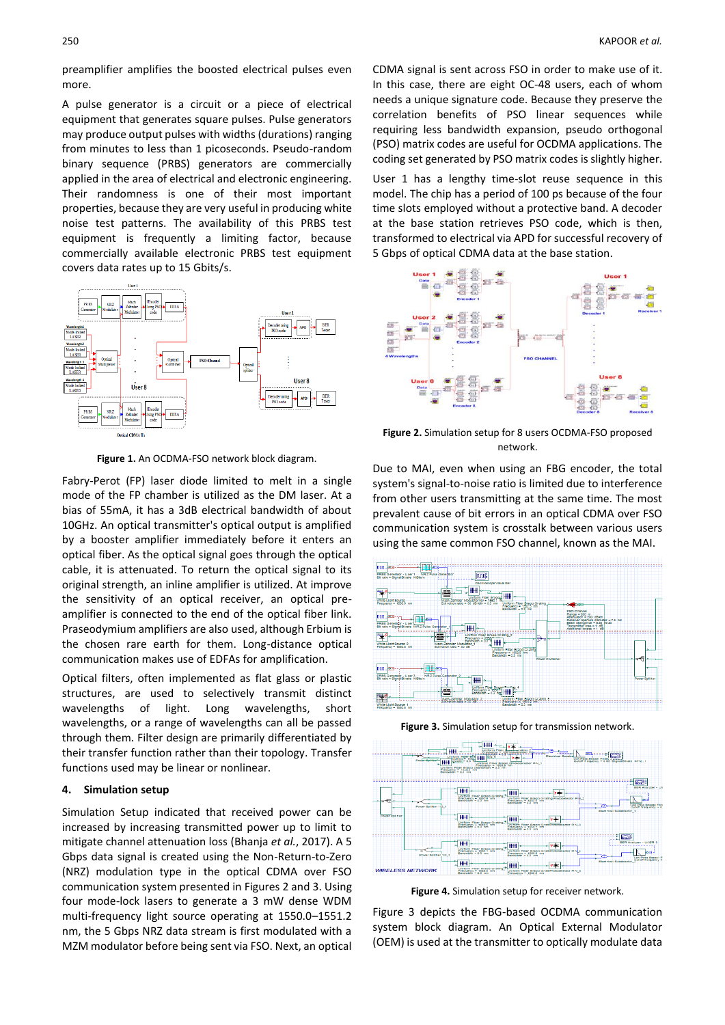preamplifier amplifies the boosted electrical pulses even more.

A pulse generator is a circuit or a piece of electrical equipment that generates square pulses. Pulse generators may produce output pulses with widths (durations) ranging from minutes to less than 1 picoseconds. Pseudo-random binary sequence (PRBS) generators are commercially applied in the area of electrical and electronic engineering. Their randomness is one of their most important properties, because they are very useful in producing white noise test patterns. The availability of this PRBS test equipment is frequently a limiting factor, because commercially available electronic PRBS test equipment covers data rates up to 15 Gbits/s.



**Figure 1.** An OCDMA-FSO network block diagram.

Fabry-Perot (FP) laser diode limited to melt in a single mode of the FP chamber is utilized as the DM laser. At a bias of 55mA, it has a 3dB electrical bandwidth of about 10GHz. An optical transmitter's optical output is amplified by a booster amplifier immediately before it enters an optical fiber. As the optical signal goes through the optical cable, it is attenuated. To return the optical signal to its original strength, an inline amplifier is utilized. At improve the sensitivity of an optical receiver, an optical preamplifier is connected to the end of the optical fiber link. Praseodymium amplifiers are also used, although Erbium is the chosen rare earth for them. Long-distance optical communication makes use of EDFAs for amplification.

Optical filters, often implemented as flat glass or plastic structures, are used to selectively transmit distinct wavelengths of light. Long wavelengths, short wavelengths, or a range of wavelengths can all be passed through them. [Filter design](http://en.wikipedia.org/wiki/Filter_design) are primarily differentiated by their [transfer function](http://en.wikipedia.org/wiki/Transfer_function) rather than their [topology.](http://en.wikipedia.org/wiki/Topology) Transfer functions used may be [linear](http://en.wikipedia.org/wiki/Linear_filter) or nonlinear.

## **4. Simulation setup**

Simulation Setup indicated that received power can be increased by increasing transmitted power up to limit to mitigate channel attenuation loss (Bhanja *et al.*, 2017). A 5 Gbps data signal is created using the Non-Return-to-Zero (NRZ) modulation type in the optical CDMA over FSO communication system presented in Figures 2 and 3. Using four mode-lock lasers to generate a 3 mW dense WDM multi-frequency light source operating at 1550.0–1551.2 nm, the 5 Gbps NRZ data stream is first modulated with a MZM modulator before being sent via FSO. Next, an optical

CDMA signal is sent across FSO in order to make use of it. In this case, there are eight OC-48 users, each of whom needs a unique signature code. Because they preserve the correlation benefits of PSO linear sequences while requiring less bandwidth expansion, pseudo orthogonal (PSO) matrix codes are useful for OCDMA applications. The coding set generated by PSO matrix codes is slightly higher.

User 1 has a lengthy time-slot reuse sequence in this model. The chip has a period of 100 ps because of the four time slots employed without a protective band. A decoder at the base station retrieves PSO code, which is then, transformed to electrical via APD for successful recovery of 5 Gbps of optical CDMA data at the base station.



**Figure 2.** Simulation setup for 8 users OCDMA-FSO proposed network.

Due to MAI, even when using an FBG encoder, the total system's signal-to-noise ratio is limited due to interference from other users transmitting at the same time. The most prevalent cause of bit errors in an optical CDMA over FSO communication system is crosstalk between various users using the same common FSO channel, known as the MAI.



**Figure 3.** Simulation setup for transmission network.



**Figure 4.** Simulation setup for receiver network.

Figure 3 depicts the FBG-based OCDMA communication system block diagram. An Optical External Modulator (OEM) is used at the transmitter to optically modulate data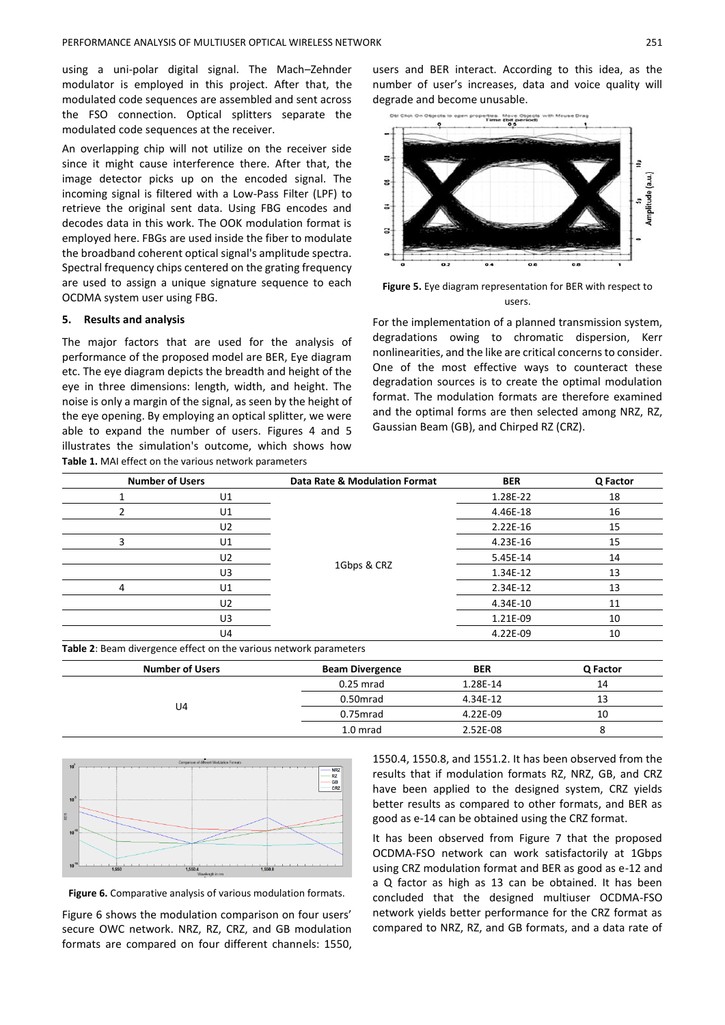using a uni-polar digital signal. The Mach–Zehnder modulator is employed in this project. After that, the modulated code sequences are assembled and sent across the FSO connection. Optical splitters separate the modulated code sequences at the receiver.

An overlapping chip will not utilize on the receiver side since it might cause interference there. After that, the image detector picks up on the encoded signal. The incoming signal is filtered with a Low-Pass Filter (LPF) to retrieve the original sent data. Using FBG encodes and decodes data in this work. The OOK modulation format is employed here. FBGs are used inside the fiber to modulate the broadband coherent optical signal's amplitude spectra. Spectral frequency chips centered on the grating frequency are used to assign a unique signature sequence to each OCDMA system user using FBG.

#### **5. Results and analysis**

The major factors that are used for the analysis of performance of the proposed model are BER, Eye diagram etc. The eye diagram depicts the breadth and height of the eye in three dimensions: length, width, and height. The noise is only a margin of the signal, as seen by the height of the eye opening. By employing an optical splitter, we were able to expand the number of users. Figures 4 and 5 illustrates the simulation's outcome, which shows how **Table 1.** MAI effect on the various network parameters

users and BER interact. According to this idea, as the number of user's increases, data and voice quality will degrade and become unusable.



**Figure 5.** Eye diagram representation for BER with respect to users.

For the implementation of a planned transmission system, degradations owing to chromatic dispersion, Kerr nonlinearities, and the like are critical concerns to consider. One of the most effective ways to counteract these degradation sources is to create the optimal modulation format. The modulation formats are therefore examined and the optimal forms are then selected among NRZ, RZ, Gaussian Beam (GB), and Chirped RZ (CRZ).

| <b>Number of Users</b>                                            |    | Data Rate & Modulation Format | <b>BER</b> | Q Factor |
|-------------------------------------------------------------------|----|-------------------------------|------------|----------|
|                                                                   | U1 |                               | 1.28E-22   | 18       |
|                                                                   | U1 |                               | 4.46E-18   | 16       |
|                                                                   | U2 |                               | $2.22E-16$ | 15       |
| 3                                                                 | U1 |                               | 4.23E-16   | 15       |
|                                                                   | U2 |                               | 5.45E-14   | 14       |
|                                                                   | U3 | 1Gbps & CRZ                   | 1.34E-12   | 13       |
| 4                                                                 | U1 |                               | 2.34E-12   | 13       |
|                                                                   | U2 |                               | 4.34E-10   | 11       |
|                                                                   | U3 |                               | 1.21E-09   | 10       |
|                                                                   | U4 |                               | 4.22E-09   | 10       |
| Table 2: Beam divergence effect on the various network parameters |    |                               |            |          |

| <b>Number of Users</b> | <b>Beam Divergence</b> | <b>BER</b> | Q Factor |
|------------------------|------------------------|------------|----------|
|                        | $0.25$ mrad            | 1.28E-14   | 14       |
|                        | 0.50 <sub>mrad</sub>   | 4.34E-12   | 13       |
| U <sub>4</sub>         | 0.75mrad               | 4.22E-09   | 10       |
|                        | 1.0 mrad               | 2.52E-08   |          |



**Figure 6.** Comparative analysis of various modulation formats.

Figure 6 shows the modulation comparison on four users' secure OWC network. NRZ, RZ, CRZ, and GB modulation formats are compared on four different channels: 1550,

1550.4, 1550.8, and 1551.2. It has been observed from the results that if modulation formats RZ, NRZ, GB, and CRZ have been applied to the designed system, CRZ yields better results as compared to other formats, and BER as good as e-14 can be obtained using the CRZ format.

It has been observed from Figure 7 that the proposed OCDMA-FSO network can work satisfactorily at 1Gbps using CRZ modulation format and BER as good as e-12 and a Q factor as high as 13 can be obtained. It has been concluded that the designed multiuser OCDMA-FSO network yields better performance for the CRZ format as compared to NRZ, RZ, and GB formats, and a data rate of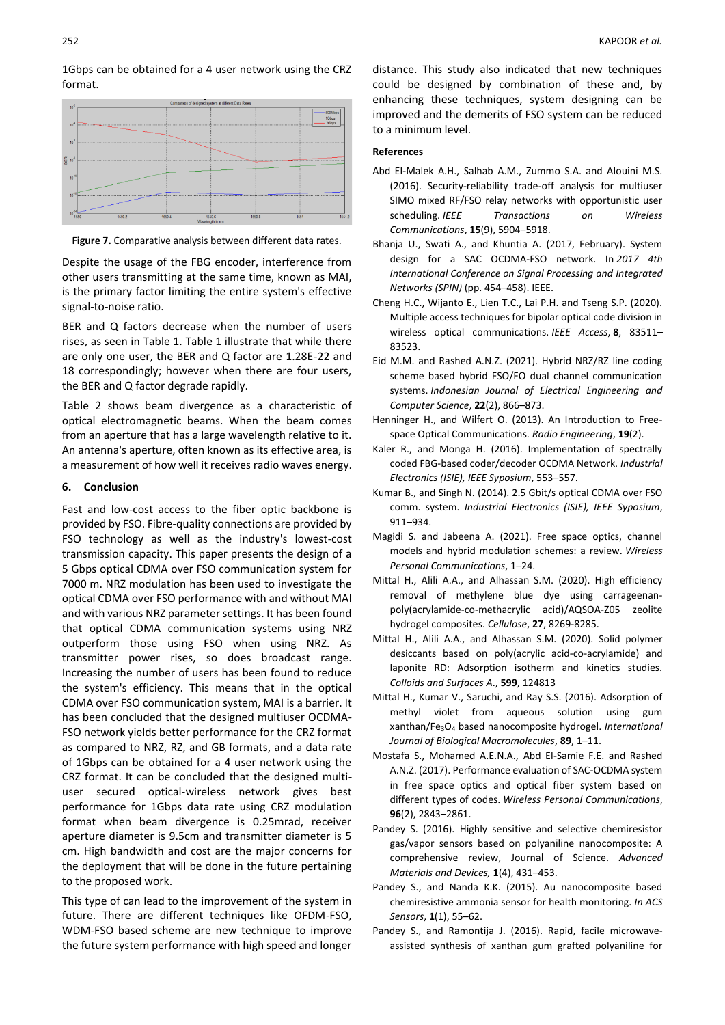1Gbps can be obtained for a 4 user network using the CRZ format.



**Figure 7.** Comparative analysis between different data rates.

Despite the usage of the FBG encoder, interference from other users transmitting at the same time, known as MAI, is the primary factor limiting the entire system's effective signal-to-noise ratio.

BER and Q factors decrease when the number of users rises, as seen in Table 1. Table 1 illustrate that while there are only one user, the BER and Q factor are 1.28E-22 and 18 correspondingly; however when there are four users, the BER and Q factor degrade rapidly.

Table 2 shows beam divergence as a characteristic of optical electromagnetic beams. When the beam comes from an aperture that has a large wavelength relative to it. An antenna's aperture, often known as its effective area, is a measurement of how well it receives radio waves energy.

#### **6. Conclusion**

Fast and low-cost access to the fiber optic backbone is provided by FSO. Fibre-quality connections are provided by FSO technology as well as the industry's lowest-cost transmission capacity. This paper presents the design of a 5 Gbps optical CDMA over FSO communication system for 7000 m. NRZ modulation has been used to investigate the optical CDMA over FSO performance with and without MAI and with various NRZ parameter settings. It has been found that optical CDMA communication systems using NRZ outperform those using FSO when using NRZ. As transmitter power rises, so does broadcast range. Increasing the number of users has been found to reduce the system's efficiency. This means that in the optical CDMA over FSO communication system, MAI is a barrier. It has been concluded that the designed multiuser OCDMA-FSO network yields better performance for the CRZ format as compared to NRZ, RZ, and GB formats, and a data rate of 1Gbps can be obtained for a 4 user network using the CRZ format. It can be concluded that the designed multiuser secured optical-wireless network gives best performance for 1Gbps data rate using CRZ modulation format when beam divergence is 0.25mrad, receiver aperture diameter is 9.5cm and transmitter diameter is 5 cm. High bandwidth and cost are the major concerns for the deployment that will be done in the future pertaining to the proposed work.

This type of can lead to the improvement of the system in future. There are different techniques like OFDM-FSO, WDM-FSO based scheme are new technique to improve the future system performance with high speed and longer distance. This study also indicated that new techniques could be designed by combination of these and, by enhancing these techniques, system designing can be improved and the demerits of FSO system can be reduced to a minimum level.

## **References**

- Abd El-Malek A.H., Salhab A.M., Zummo S.A. and Alouini M.S. (2016). Security-reliability trade-off analysis for multiuser SIMO mixed RF/FSO relay networks with opportunistic user scheduling. *IEEE Transactions on Wireless Communications*, **15**(9), 5904–5918.
- Bhanja U., Swati A., and Khuntia A. (2017, February). System design for a SAC OCDMA-FSO network. In *2017 4th International Conference on Signal Processing and Integrated Networks (SPIN)* (pp. 454–458). IEEE.
- Cheng H.C., Wijanto E., Lien T.C., Lai P.H. and Tseng S.P. (2020). Multiple access techniques for bipolar optical code division in wireless optical communications. *IEEE Access*, **8**, 83511– 83523.
- Eid M.M. and Rashed A.N.Z. (2021). Hybrid NRZ/RZ line coding scheme based hybrid FSO/FO dual channel communication systems. *Indonesian Journal of Electrical Engineering and Computer Science*, **22**(2), 866–873.
- Henninger H., and Wilfert O. (2013). An Introduction to Freespace Optical Communications. *Radio Engineering*, **19**(2).
- Kaler R., and Monga H. (2016). Implementation of spectrally coded FBG-based coder/decoder OCDMA Network. *Industrial Electronics (ISIE), IEEE Syposium*, 553–557.
- Kumar B., and Singh N. (2014). 2.5 Gbit/s optical CDMA over FSO comm. system. *Industrial Electronics (ISIE), IEEE Syposium*, 911–934.
- Magidi S. and Jabeena A. (2021). Free space optics, channel models and hybrid modulation schemes: a review. *Wireless Personal Communications*, 1–24.
- Mittal H., Alili A.A., and Alhassan S.M. (2020). High efficiency removal of methylene blue dye using carrageenanpoly(acrylamide-co-methacrylic acid)/AQSOA-Z05 zeolite hydrogel composites. *Cellulose*, **27**, 8269-8285.
- Mittal H., Alili A.A., and Alhassan S.M. (2020). Solid polymer desiccants based on poly(acrylic acid-co-acrylamide) and laponite RD: Adsorption isotherm and kinetics studies. *Colloids and Surfaces A*., **599**, 124813
- Mittal H., Kumar V., Saruchi, and Ray S.S. (2016). Adsorption of methyl violet from aqueous solution using gum xanthan/Fe3O<sup>4</sup> based nanocomposite hydrogel. *International Journal of Biological Macromolecules*, **89**, 1–11.
- Mostafa S., Mohamed A.E.N.A., Abd El-Samie F.E. and Rashed A.N.Z. (2017). Performance evaluation of SAC-OCDMA system in free space optics and optical fiber system based on different types of codes. *Wireless Personal Communications*, **96**(2), 2843–2861.
- Pandey S. (2016). Highly sensitive and selective chemiresistor gas/vapor sensors based on polyaniline nanocomposite: A comprehensive review, Journal of Science. *Advanced Materials and Devices,* **1**(4), 431–453.
- Pandey S., and Nanda K.K. (2015). Au nanocomposite based chemiresistive ammonia sensor for health monitoring. *In ACS Sensors*, **1**(1), 55–62.
- Pandey S., and Ramontija J. (2016). Rapid, facile microwaveassisted synthesis of xanthan gum grafted polyaniline for